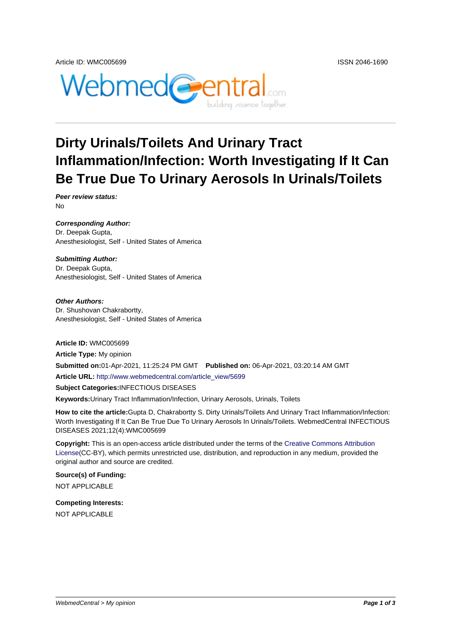

# **Dirty Urinals/Toilets And Urinary Tract Inflammation/Infection: Worth Investigating If It Can Be True Due To Urinary Aerosols In Urinals/Toilets**

**Peer review status:** No

**Corresponding Author:** Dr. Deepak Gupta, Anesthesiologist, Self - United States of America

#### **Submitting Author:**

Dr. Deepak Gupta, Anesthesiologist, Self - United States of America

**Other Authors:** Dr. Shushovan Chakrabortty, Anesthesiologist, Self - United States of America

**Article ID:** WMC005699 **Article Type:** My opinion **Submitted on:**01-Apr-2021, 11:25:24 PM GMT **Published on:** 06-Apr-2021, 03:20:14 AM GMT **Article URL:** http://www.webmedcentral.com/article\_view/5699 **Subject Categories:**INFECTIOUS DISEASES **Keywords:**Urinary Tract Inflammation/Infection, Urinary Aerosols, Urinals, Toilets

**How to cite the article:**[Gupta D, Chakrabortty S. Dirty Urinals/T](http://www.webmedcentral.com/article_view/5699)oilets And Urinary Tract Inflammation/Infection: Worth Investigating If It Can Be True Due To Urinary Aerosols In Urinals/Toilets. WebmedCentral INFECTIOUS DISEASES 2021;12(4):WMC005699

**Copyright:** This is an open-access article distributed under the terms of the Creative Commons Attribution License(CC-BY), which permits unrestricted use, distribution, and reproduction in any medium, provided the original author and source are credited.

**Source(s) of Funding:** [NOT AP](http://creativecommons.org/licenses/by/3.0/)PLICABLE

**Competing Interests:** NOT APPLICABLE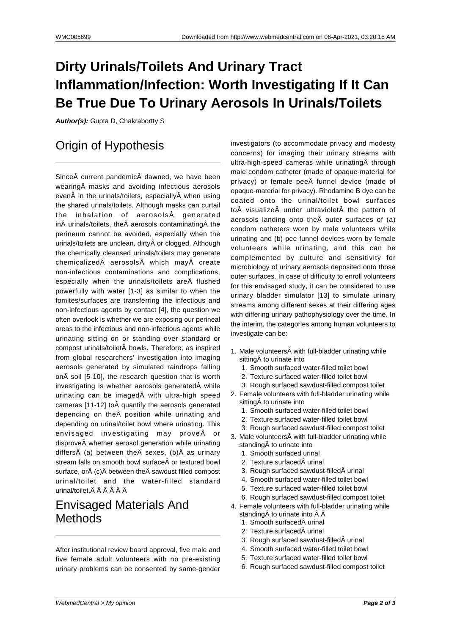# **Dirty Urinals/Toilets And Urinary Tract Inflammation/Infection: Worth Investigating If It Can Be True Due To Urinary Aerosols In Urinals/Toilets**

**Author(s):** Gupta D, Chakrabortty S

### Origin of Hypothesis

Since current pandemic dawned, we have been wearing masks and avoiding infectious aerosols even in the urinals/toilets, especially when using the shared urinals/toilets. Although masks can curtail the inhalation of aerosols generated in $\hat{A}$  urinals/toilets, the $\hat{A}$  aerosols contaminating $\hat{A}$  the perineum cannot be avoided, especially when the urinals/toilets are unclean, dirty or clogged. Although the chemically cleansed urinals/toilets may generate  $chemicalized \hat{A}$  aerosols $\hat{A}$  which mav $\hat{A}$  create non-infectious contaminations and complications, especially when the urinals/toilets are flushed powerfully with water [1-3] as similar to when the fomites/surfaces are transferring the infectious and non-infectious agents by contact [4], the question we often overlook is whether we are exposing our perineal areas to the infectious and non-infectious agents while urinating sitting on or standing over standard or compost urinals/toilet bowls. Therefore, as inspired from global researchers' investigation into imaging aerosols generated by simulated raindrops falling on $\hat{A}$  soil [5-10], the research question that is worth investigating is whether aerosols generated $\hat{A}$  while urinating can be imaged with ultra-high speed cameras [11-12] to quantify the aerosols generated depending on the Å position while urinating and depending on urinal/toilet bowl where urinating. This envisaged investigating may prove or disprove whether aerosol generation while urinating differs $\hat{A}$  (a) between the $\hat{A}$  sexes, (b) $\hat{A}$  as urinary stream falls on smooth bowl surface or textured bowl surface, or $\hat{A}$  (c) $\hat{A}$  between the  $\hat{A}$  sawdust filled compost urinal/toilet and the water-filled standard urinal/toilet. Â Â Â Â Â

#### Envisaged Materials And **Methods**

After institutional review board approval, five male and five female adult volunteers with no pre-existing urinary problems can be consented by same-gender investigators (to accommodate privacy and modesty concerns) for imaging their urinary streams with ultra-high-speed cameras while urinating  $\hat{A}$  through male condom catheter (made of opaque-material for privacy) or female pee funnel device (made of opaque-material for privacy). Rhodamine B dye can be coated onto the urinal/toilet bowl surfaces to visualize under ultraviolet the pattern of aerosols landing onto the $\hat{A}$  outer surfaces of (a) condom catheters worn by male volunteers while urinating and (b) pee funnel devices worn by female volunteers while urinating, and this can be complemented by culture and sensitivity for microbiology of urinary aerosols deposited onto those outer surfaces. In case of difficulty to enroll volunteers for this envisaged study, it can be considered to use urinary bladder simulator [13] to simulate urinary streams among different sexes at their differing ages with differing urinary pathophysiology over the time. In the interim, the categories among human volunteers to investigate can be:

- 1. Male volunteers with full-bladder urinating while sitting to urinate into
	- 1. Smooth surfaced water-filled toilet bowl
	- 2. Texture surfaced water-filled toilet bowl
- 3. Rough surfaced sawdust-filled compost toilet 2. Female volunteers with full-bladder urinating while
	- sitting A to urinate into
	- 1. Smooth surfaced water-filled toilet bowl
	- 2. Texture surfaced water-filled toilet bowl
	- 3. Rough surfaced sawdust-filled compost toilet
- 3. Male volunteers with full-bladder urinating while standing A to urinate into
	- 1. Smooth surfaced urinal
	- 2. Texture surfaced urinal
	- 3. Rough surfaced sawdust-filled urinal
	- 4. Smooth surfaced water-filled toilet bowl
	- 5. Texture surfaced water-filled toilet bowl
	- 6. Rough surfaced sawdust-filled compost toilet
- 4. Female volunteers with full-bladder urinating while standing $\hat{A}$  to urinate into  $\hat{A}$   $\hat{A}$ 
	- 1. Smooth surfaced urinal
	- 2. Texture surfaced urinal
	- 3. Rough surfaced sawdust-filled urinal
	- 4. Smooth surfaced water-filled toilet bowl
	- 5. Texture surfaced water-filled toilet bowl
	- 6. Rough surfaced sawdust-filled compost toilet